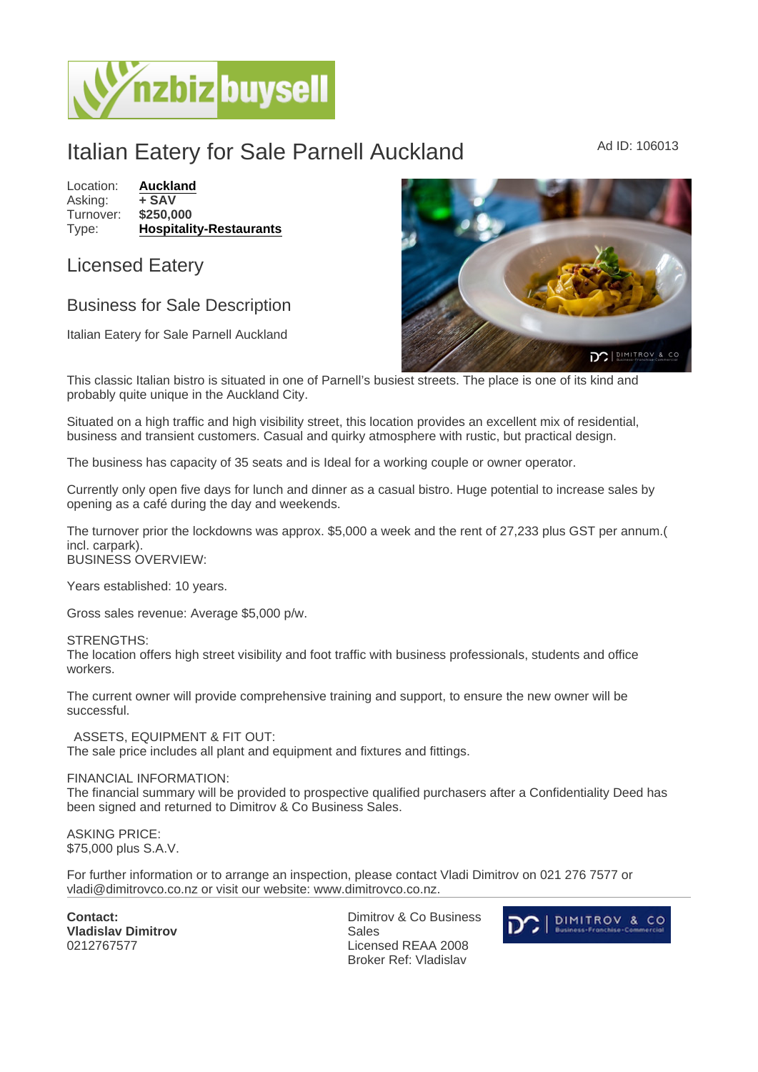## Italian Eatery for Sale Parnell Auckland Market Ad ID: 106013

Location: **[Auckland](https://www.nzbizbuysell.co.nz/businesses-for-sale/location/Auckland)**<br>Asking: + SAV Asking: + SAV<br>Turnover: \$250.000 Turnover: Type: [Hospitality-Restaurants](https://www.nzbizbuysell.co.nz/businesses-for-sale/Restaurants/New-Zealand)

## Licensed Eatery

## Business for Sale Description

Italian Eatery for Sale Parnell Auckland

This classic Italian bistro is situated in one of Parnell's busiest streets. The place is one of its kind and probably quite unique in the Auckland City.

Situated on a high traffic and high visibility street, this location provides an excellent mix of residential, business and transient customers. Casual and quirky atmosphere with rustic, but practical design.

The business has capacity of 35 seats and is Ideal for a working couple or owner operator.

Currently only open five days for lunch and dinner as a casual bistro. Huge potential to increase sales by opening as a café during the day and weekends.

The turnover prior the lockdowns was approx. \$5,000 a week and the rent of 27,233 plus GST per annum.( incl. carpark). BUSINESS OVERVIEW:

Years established: 10 years.

Gross sales revenue: Average \$5,000 p/w.

STRENGTHS:

The location offers high street visibility and foot traffic with business professionals, students and office workers.

The current owner will provide comprehensive training and support, to ensure the new owner will be successful.

 ASSETS, EQUIPMENT & FIT OUT: The sale price includes all plant and equipment and fixtures and fittings.

FINANCIAL INFORMATION:

The financial summary will be provided to prospective qualified purchasers after a Confidentiality Deed has been signed and returned to Dimitrov & Co Business Sales.

ASKING PRICE: \$75,000 plus S.A.V.

For further information or to arrange an inspection, please contact Vladi Dimitrov on 021 276 7577 or vladi@dimitrovco.co.nz or visit our website: www.dimitrovco.co.nz.

Contact: Vladislav Dimitrov 0212767577

Dimitrov & Co Business Sales Licensed REAA 2008 Broker Ref: Vladislav